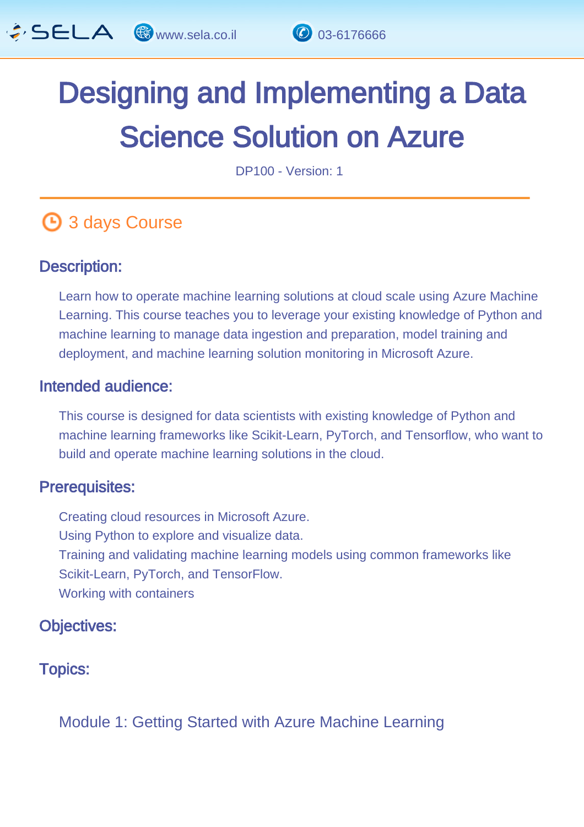

# Designing and Implementing a Data Science Solution on Azure

DP100 - Version: 1

## **4** 3 days Course

#### Description: Ĩ

Learn how to operate machine learning solutions at cloud scale using Azure Machine Learning. This course teaches you to leverage your existing knowledge of Python and machine learning to manage data ingestion and preparation, model training and deployment, and machine learning solution monitoring in Microsoft Azure.

#### Intended audience: Ï

This course is designed for data scientists with existing knowledge of Python and machine learning frameworks like Scikit-Learn, PyTorch, and Tensorflow, who want to build and operate machine learning solutions in the cloud.

#### Prerequisites: L,

Creating cloud resources in Microsoft Azure. Using Python to explore and visualize data. Training and validating machine learning models using common frameworks like Scikit-Learn, PyTorch, and TensorFlow. Working with containers

#### Objectives: Ĭ

#### Topics: J.

Module 1: Getting Started with Azure Machine Learning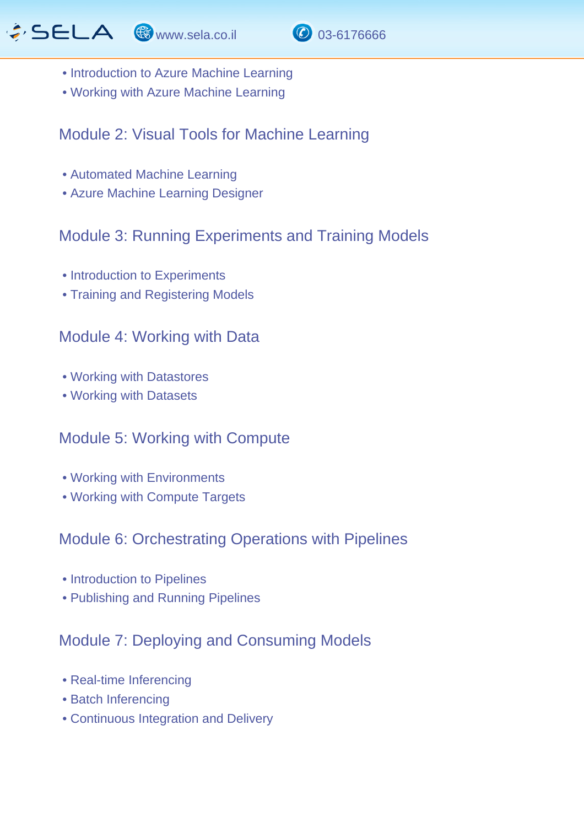



- Introduction to Azure Machine Learning
- Working with Azure Machine Learning

#### Module 2: Visual Tools for Machine Learning

- Automated Machine Learning
- Azure Machine Learning Designer

## Module 3: Running Experiments and Training Models

- Introduction to Experiments
- Training and Registering Models

#### Module 4: Working with Data

- Working with Datastores
- Working with Datasets

## Module 5: Working with Compute

- Working with Environments
- Working with Compute Targets

## Module 6: Orchestrating Operations with Pipelines

- Introduction to Pipelines
- Publishing and Running Pipelines

## Module 7: Deploying and Consuming Models

- Real-time Inferencing
- Batch Inferencing
- Continuous Integration and Delivery